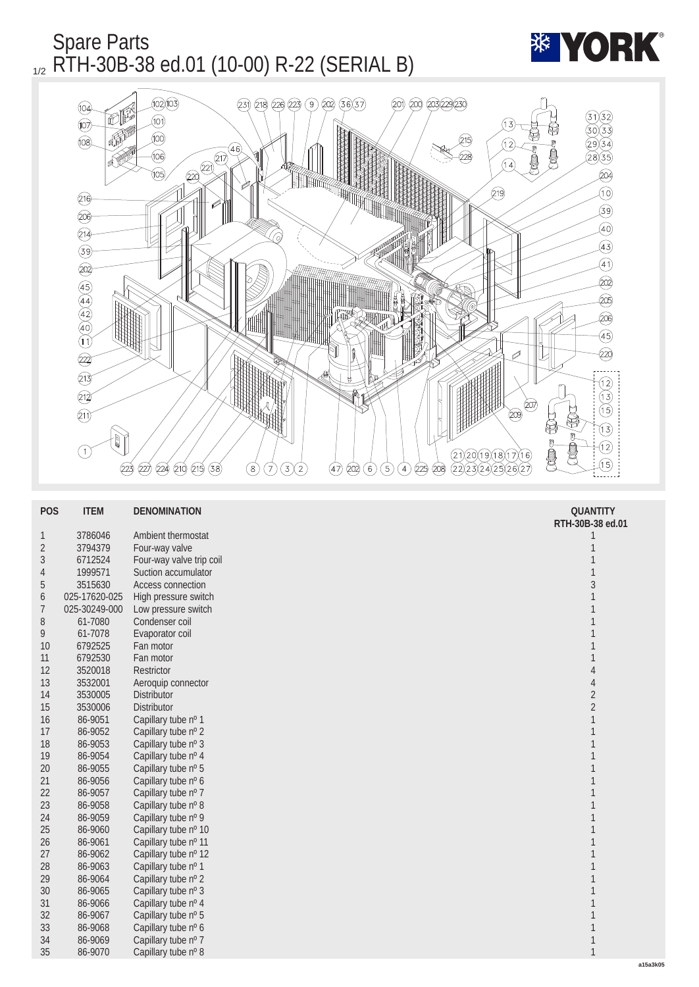

| <b>POS</b>     | <b>ITEM</b>   | <b>DENOMINATION</b>      | <b>QUANTITY</b>  |
|----------------|---------------|--------------------------|------------------|
|                |               |                          | RTH-30B-38 ed.01 |
| $\mathbf{1}$   | 3786046       | Ambient thermostat       | 1                |
| $\sqrt{2}$     | 3794379       | Four-way valve           | $\mathbf{1}$     |
| $\sqrt{3}$     | 6712524       | Four-way valve trip coil | $\mathbf{1}$     |
| $\overline{4}$ | 1999571       | Suction accumulator      | $\mathbf{1}$     |
| $\sqrt{5}$     | 3515630       | <b>Access connection</b> | $\overline{3}$   |
| 6              | 025-17620-025 | High pressure switch     | $\mathbf{1}$     |
| $\overline{7}$ | 025-30249-000 | Low pressure switch      | $\mathbf{1}$     |
| 8              | 61-7080       | Condenser coil           | $\mathbf{1}$     |
| 9              | 61-7078       | Evaporator coil          | $\mathbf{1}$     |
| 10             | 6792525       | Fan motor                | $\mathbf{1}$     |
| 11             | 6792530       | Fan motor                | $\mathbf{1}$     |
| 12             | 3520018       | <b>Restrictor</b>        | $\pmb{4}$        |
| 13             | 3532001       | Aeroquip connector       | $\pmb{4}$        |
| 14             | 3530005       | Distributor              | $\sqrt{2}$       |
| 15             | 3530006       | <b>Distributor</b>       | $\boldsymbol{2}$ |
| 16             | 86-9051       | Capillary tube nº 1      | $\mathbf{1}$     |
| 17             | 86-9052       | Capillary tube nº 2      | $\mathbf{1}$     |
| 18             | 86-9053       | Capillary tube nº 3      | $\mathbf{1}$     |
| 19             | 86-9054       | Capillary tube nº 4      | $\mathbf{1}$     |
| 20             | 86-9055       | Capillary tube nº 5      | 1                |
| 21             | 86-9056       | Capillary tube nº 6      | $\mathbf{1}$     |
| 22             | 86-9057       | Capillary tube nº 7      | $\mathbf{1}$     |
| 23             | 86-9058       | Capillary tube nº 8      | $\mathbf{1}$     |
| 24             | 86-9059       | Capillary tube nº 9      | $\mathbf{1}$     |
| 25             | 86-9060       | Capillary tube nº 10     | $\mathbf{1}$     |
| 26             | 86-9061       | Capillary tube nº 11     | $\mathbf{1}$     |
| 27             | 86-9062       | Capillary tube nº 12     | $\mathbf{1}$     |
| 28             | 86-9063       | Capillary tube nº 1      | $\mathbf{1}$     |
| 29             | 86-9064       | Capillary tube nº 2      | $\mathbf{1}$     |
| 30             | 86-9065       | Capillary tube nº 3      | $\mathbf{1}$     |
| 31             | 86-9066       | Capillary tube nº 4      | $\mathbf{1}$     |
| 32             | 86-9067       | Capillary tube nº 5      | $\mathbf{1}$     |
| 33             | 86-9068       | Capillary tube nº 6      | $\mathbf{1}$     |
| 34             | 86-9069       | Capillary tube nº 7      | $\,1$            |
| 35             | 86-9070       | Capillary tube nº 8      | $\mathbf{1}$     |
|                |               |                          |                  |